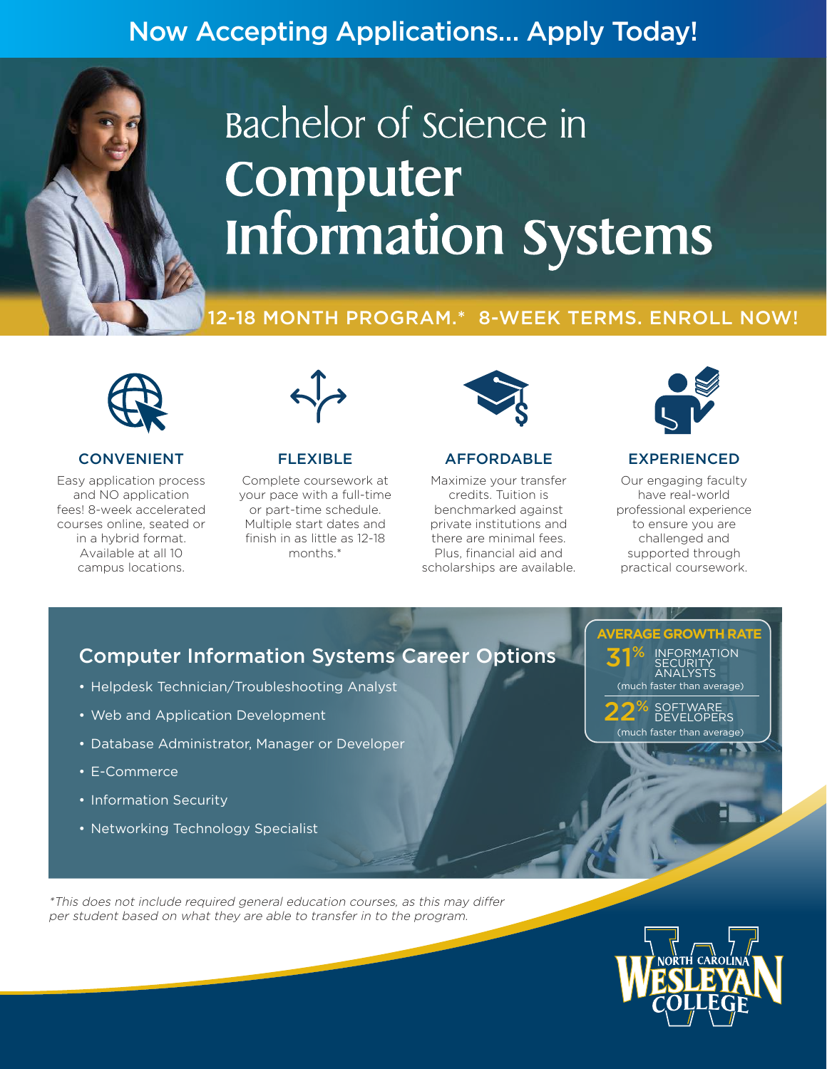# Now Accepting Applications… Apply Today!

# Bachelor of science in Computer **Information Systems**

### 12-18 MONTH PROGRAM.\* 8-WEEK TERMS. ENROLL NOW!



#### CONVENIENT

Easy application process and NO application fees! 8-week accelerated courses online, seated or in a hybrid format. Available at all 10 campus locations.



#### FLEXIBLE

Complete coursework at your pace with a full-time or part-time schedule. Multiple start dates and finish in as little as 12-18 months.\*



#### AFFORDABLE

Maximize your transfer credits. Tuition is benchmarked against private institutions and there are minimal fees. Plus, financial aid and scholarships are available.



#### EXPERIENCED

Our engaging faculty have real-world professional experience to ensure you are challenged and supported through practical coursework.

# Computer Information Systems Career Options

- Helpdesk Technician/Troubleshooting Analyst
- Web and Application Development
- Database Administrator, Manager or Developer
- E-Commerce
- Information Security
- Networking Technology Specialist

INFORMATION SECURITY ANALYSTS 31% SOFTWARE<br>DEVELOPERS % (much faster than average)

**AVERAGE GROWTH RATE**

(much faster than average)

\*This does not include required general education courses, as this may differ per student based on what they are able to transfer in to the program.